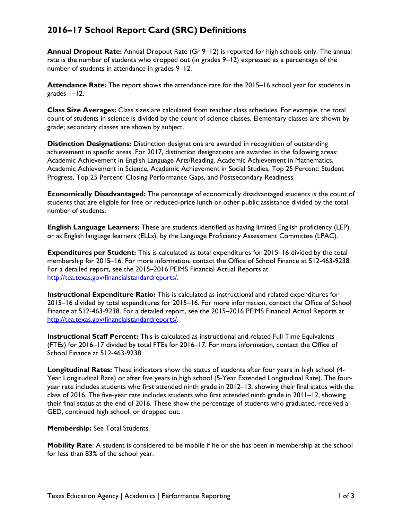## **2016–17 School Report Card (SRC) Definitions**

**Annual Dropout Rate:** Annual Dropout Rate (Gr 9–12) is reported for high schools only. The annual rate is the number of students who dropped out (in grades 9–12) expressed as a percentage of the number of students in attendance in grades 9–12.

**Attendance Rate:** The report shows the attendance rate for the 2015–16 school year for students in grades 1–12.

**Class Size Averages:** Class sizes are calculated from teacher class schedules. For example, the total count of students in science is divided by the count of science classes. Elementary classes are shown by grade; secondary classes are shown by subject.

**Distinction Designations:** Distinction designations are awarded in recognition of outstanding achievement in specific areas. For 2017, distinction designations are awarded in the following areas: Academic Achievement in English Language Arts/Reading, Academic Achievement in Mathematics, Academic Achievement in Science, Academic Achievement in Social Studies, Top 25 Percent: Student Progress, Top 25 Percent: Closing Performance Gaps, and Postsecondary Readiness.

**Economically Disadvantaged:** The percentage of economically disadvantaged students is the count of students that are eligible for free or reduced-price lunch or other public assistance divided by the total number of students.

**English Language Learners:** These are students identified as having limited English proficiency (LEP), or as English language learners (ELLs), by the Language Proficiency Assessment Committee (LPAC).

**Expenditures per Student:** This is calculated as total expenditures for 2015–16 divided by the total membership for 2015–16. For more information, contact the Office of School Finance at 512-463-9238. For a detailed report, see the 2015–2016 PEIMS Financial Actual Reports at [http://tea.texas.gov/financialstandardreports/.](http://tea.texas.gov/financialstandardreports/)

**Instructional Expenditure Ratio:** This is calculated as instructional and related expenditures for 2015–16 divided by total expenditures for 2015–16. For more information, contact the Office of School Finance at 512-463-9238. For a detailed report, see the 2015–2016 PEIMS Financial Actual Reports at [http://tea.texas.gov/financialstandardreports/.](http://tea.texas.gov/financialstandardreports/)

**Instructional Staff Percent:** This is calculated as instructional and related Full Time Equivalents (FTEs) for 2016–17 divided by total FTEs for 2016–17. For more information, contact the Office of School Finance at 512-463-9238.

**Longitudinal Rates:** These indicators show the status of students after four years in high school (4- Year Longitudinal Rate) or after five years in high school (5-Year Extended Longitudinal Rate). The fouryear rate includes students who first attended ninth grade in 2012–13, showing their final status with the class of 2016. The five-year rate includes students who first attended ninth grade in 2011–12, showing their final status at the end of 2016. These show the percentage of students who graduated, received a GED, continued high school, or dropped out.

**Membership:** See Total Students.

**Mobility Rate**: A student is considered to be mobile if he or she has been in membership at the school for less than 83% of the school year.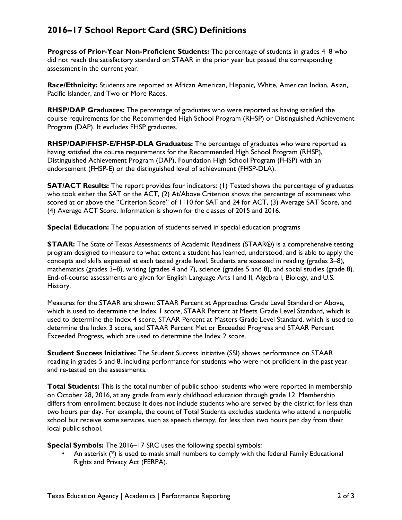## **2016–17 School Report Card (SRC) Definitions**

**Progress of Prior-Year Non-Proficient Students:** The percentage of students in grades 4–8 who did not reach the satisfactory standard on STAAR in the prior year but passed the corresponding assessment in the current year.

**Race/Ethnicity:** Students are reported as African American, Hispanic, White, American Indian, Asian, Pacific Islander, and Two or More Races.

**RHSP/DAP Graduates:** The percentage of graduates who were reported as having satisfied the course requirements for the Recommended High School Program (RHSP) or Distinguished Achievement Program (DAP). It excludes FHSP graduates.

**RHSP/DAP/FHSP-E/FHSP-DLA Graduates:** The percentage of graduates who were reported as having satisfied the course requirements for the Recommended High School Program (RHSP), Distinguished Achievement Program (DAP), Foundation High School Program (FHSP) with an endorsement (FHSP-E) or the distinguished level of achievement (FHSP-DLA).

**SAT/ACT Results:** The report provides four indicators: (1) Tested shows the percentage of graduates who took either the SAT or the ACT, (2) At/Above Criterion shows the percentage of examinees who scored at or above the "Criterion Score" of 1110 for SAT and 24 for ACT, (3) Average SAT Score, and (4) Average ACT Score. Information is shown for the classes of 2015 and 2016.

**Special Education:** The population of students served in special education programs

**STAAR:** The State of Texas Assessments of Academic Readiness (STAAR®) is a comprehensive testing program designed to measure to what extent a student has learned, understood, and is able to apply the concepts and skills expected at each tested grade level. Students are assessed in reading (grades 3–8), mathematics (grades 3–8), writing (grades 4 and 7), science (grades 5 and 8), and social studies (grade 8). End-of-course assessments are given for English Language Arts I and II, Algebra I, Biology, and U.S. History.

Measures for the STAAR are shown: STAAR Percent at Approaches Grade Level Standard or Above, which is used to determine the Index 1 score, STAAR Percent at Meets Grade Level Standard, which is used to determine the Index 4 score, STAAR Percent at Masters Grade Level Standard, which is used to determine the Index 3 score, and STAAR Percent Met or Exceeded Progress and STAAR Percent Exceeded Progress, which are used to determine the Index 2 score.

**Student Success Initiative:** The Student Success Initiative (SSI) shows performance on STAAR reading in grades 5 and 8, including performance for students who were not proficient in the past year and re-tested on the assessments.

**Total Students:** This is the total number of public school students who were reported in membership on October 28, 2016, at any grade from early childhood education through grade 12. Membership differs from enrollment because it does not include students who are served by the district for less than two hours per day. For example, the count of Total Students excludes students who attend a nonpublic school but receive some services, such as speech therapy, for less than two hours per day from their local public school.

**Special Symbols:** The 2016–17 SRC uses the following special symbols:

• An asterisk (\*) is used to mask small numbers to comply with the federal Family Educational Rights and Privacy Act (FERPA).